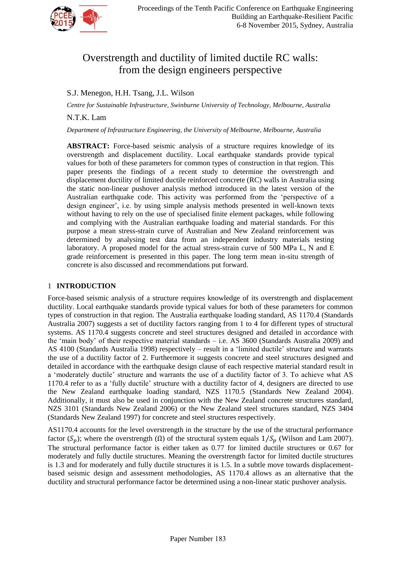

# Overstrength and ductility of limited ductile RC walls: from the design engineers perspective

## S.J. Menegon, H.H. Tsang, J.L. Wilson

*Centre for Sustainable Infrastructure, Swinburne University of Technology, Melbourne, Australia*

### N.T.K. Lam

*Department of Infrastructure Engineering, the University of Melbourne, Melbourne, Australia*

**ABSTRACT:** Force-based seismic analysis of a structure requires knowledge of its overstrength and displacement ductility. Local earthquake standards provide typical values for both of these parameters for common types of construction in that region. This paper presents the findings of a recent study to determine the overstrength and displacement ductility of limited ductile reinforced concrete (RC) walls in Australia using the static non-linear pushover analysis method introduced in the latest version of the Australian earthquake code. This activity was performed from the 'perspective of a design engineer', i.e. by using simple analysis methods presented in well-known texts without having to rely on the use of specialised finite element packages, while following and complying with the Australian earthquake loading and material standards. For this purpose a mean stress-strain curve of Australian and New Zealand reinforcement was determined by analysing test data from an independent industry materials testing laboratory. A proposed model for the actual stress-strain curve of 500 MPa L, N and E grade reinforcement is presented in this paper. The long term mean in-situ strength of concrete is also discussed and recommendations put forward.

#### 1 **INTRODUCTION**

Force-based seismic analysis of a structure requires knowledge of its overstrength and displacement ductility. Local earthquake standards provide typical values for both of these parameters for common types of construction in that region. The Australia earthquake loading standard, AS 1170.4 (Standards Australia 2007) suggests a set of ductility factors ranging from 1 to 4 for different types of structural systems. AS 1170.4 suggests concrete and steel structures designed and detailed in accordance with the 'main body' of their respective material standards – i.e. AS 3600 (Standards Australia 2009) and AS 4100 (Standards Australia 1998) respectively – result in a 'limited ductile' structure and warrants the use of a ductility factor of 2. Furthermore it suggests concrete and steel structures designed and detailed in accordance with the earthquake design clause of each respective material standard result in a 'moderately ductile' structure and warrants the use of a ductility factor of 3. To achieve what AS 1170.4 refer to as a 'fully ductile' structure with a ductility factor of 4, designers are directed to use the New Zealand earthquake loading standard, NZS 1170.5 (Standards New Zealand 2004). Additionally, it must also be used in conjunction with the New Zealand concrete structures standard, NZS 3101 (Standards New Zealand 2006) or the New Zealand steel structures standard, NZS 3404 (Standards New Zealand 1997) for concrete and steel structures respectively.

AS1170.4 accounts for the level overstrength in the structure by the use of the structural performance factor ( $S_p$ ); where the overstrength ( $\Omega$ ) of the structural system equals  $1/S_p$  (Wilson and Lam 2007). The structural performance factor is either taken as 0.77 for limited ductile structures or 0.67 for moderately and fully ductile structures. Meaning the overstrength factor for limited ductile structures is 1.3 and for moderately and fully ductile structures it is 1.5. In a subtle move towards displacementbased seismic design and assessment methodologies, AS 1170.4 allows as an alternative that the ductility and structural performance factor be determined using a non-linear static pushover analysis.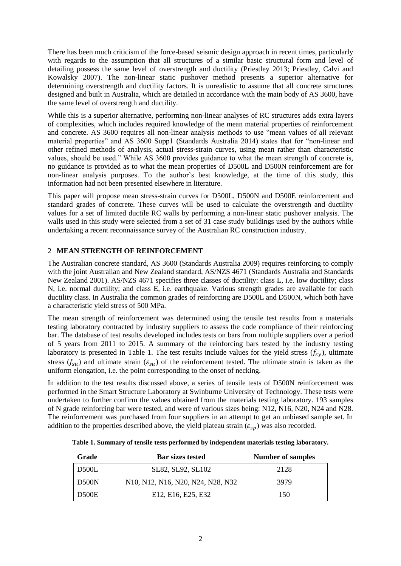There has been much criticism of the force-based seismic design approach in recent times, particularly with regards to the assumption that all structures of a similar basic structural form and level of detailing possess the same level of overstrength and ductility (Priestley 2013; Priestley, Calvi and Kowalsky 2007). The non-linear static pushover method presents a superior alternative for determining overstrength and ductility factors. It is unrealistic to assume that all concrete structures designed and built in Australia, which are detailed in accordance with the main body of AS 3600, have the same level of overstrength and ductility.

While this is a superior alternative, performing non-linear analyses of RC structures adds extra layers of complexities, which includes required knowledge of the mean material properties of reinforcement and concrete. AS 3600 requires all non-linear analysis methods to use "mean values of all relevant material properties" and AS 3600 Supp1 (Standards Australia 2014) states that for "non-linear and other refined methods of analysis, actual stress-strain curves, using mean rather than characteristic values, should be used." While AS 3600 provides guidance to what the mean strength of concrete is, no guidance is provided as to what the mean properties of D500L and D500N reinforcement are for non-linear analysis purposes. To the author's best knowledge, at the time of this study, this information had not been presented elsewhere in literature.

This paper will propose mean stress-strain curves for D500L, D500N and D500E reinforcement and standard grades of concrete. These curves will be used to calculate the overstrength and ductility values for a set of limited ductile RC walls by performing a non-linear static pushover analysis. The walls used in this study were selected from a set of 31 case study buildings used by the authors while undertaking a recent reconnaissance survey of the Australian RC construction industry.

### 2 **MEAN STRENGTH OF REINFORCEMENT**

The Australian concrete standard, AS 3600 (Standards Australia 2009) requires reinforcing to comply with the joint Australian and New Zealand standard, AS/NZS 4671 (Standards Australia and Standards New Zealand 2001). AS/NZS 4671 specifies three classes of ductility: class L, i.e. low ductility; class N, i.e. normal ductility; and class E, i.e. earthquake. Various strength grades are available for each ductility class. In Australia the common grades of reinforcing are D500L and D500N, which both have a characteristic yield stress of 500 MPa.

The mean strength of reinforcement was determined using the tensile test results from a materials testing laboratory contracted by industry suppliers to assess the code compliance of their reinforcing bar. The database of test results developed includes tests on bars from multiple suppliers over a period of 5 years from 2011 to 2015. A summary of the reinforcing bars tested by the industry testing laboratory is presented in Table 1. The test results include values for the yield stress  $(f_{sv})$ , ultimate stress  $(f_{su})$  and ultimate strain  $(\varepsilon_{su})$  of the reinforcement tested. The ultimate strain is taken as the uniform elongation, i.e. the point corresponding to the onset of necking.

In addition to the test results discussed above, a series of tensile tests of D500N reinforcement was performed in the Smart Structure Laboratory at Swinburne University of Technology. These tests were undertaken to further confirm the values obtained from the materials testing laboratory. 193 samples of N grade reinforcing bar were tested, and were of various sizes being: N12, N16, N20, N24 and N28. The reinforcement was purchased from four suppliers in an attempt to get an unbiased sample set. In addition to the properties described above, the yield plateau strain  $(\varepsilon_{sp})$  was also recorded.

| Grade        | <b>Bar sizes tested</b>                                               | <b>Number of samples</b> |
|--------------|-----------------------------------------------------------------------|--------------------------|
| D500L        | SL82, SL92, SL102                                                     | 2128                     |
| <b>D500N</b> | N10, N12, N16, N20, N24, N28, N32                                     | 3979                     |
| <b>D500E</b> | E <sub>12</sub> , E <sub>16</sub> , E <sub>25</sub> , E <sub>32</sub> | 150                      |

**Table 1. Summary of tensile tests performed by independent materials testing laboratory.**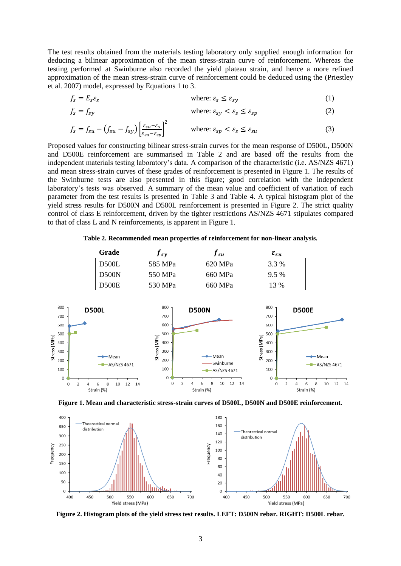The test results obtained from the materials testing laboratory only supplied enough information for deducing a bilinear approximation of the mean stress-strain curve of reinforcement. Whereas the testing performed at Swinburne also recorded the yield plateau strain, and hence a more refined approximation of the mean stress-strain curve of reinforcement could be deduced using the (Priestley et al. 2007) model, expressed by Equations 1 to 3.

$$
f_s = E_s \varepsilon_s \qquad \qquad \text{where: } \varepsilon_s \le \varepsilon_{s\gamma} \tag{1}
$$

$$
f_s = f_{sy} \qquad \qquad \text{where: } \varepsilon_{sy} < \varepsilon_s \leq \varepsilon_{sp} \tag{2}
$$

$$
f_s = f_{su} - (f_{su} - f_{sy}) \left[ \frac{\varepsilon_{su} - \varepsilon_s}{\varepsilon_{su} - \varepsilon_{sp}} \right]^2 \qquad \text{where: } \varepsilon_{sp} < \varepsilon_s \leq \varepsilon_{su} \tag{3}
$$

Proposed values for constructing bilinear stress-strain curves for the mean response of D500L, D500N and D500E reinforcement are summarised in Table 2 and are based off the results from the independent materials testing laboratory's data. A comparison of the characteristic (i.e. AS/NZS 4671) and mean stress-strain curves of these grades of reinforcement is presented in Figure 1. The results of the Swinburne tests are also presented in this figure; good correlation with the independent laboratory's tests was observed. A summary of the mean value and coefficient of variation of each parameter from the test results is presented in Table 3 and Table 4. A typical histogram plot of the yield stress results for D500N and D500L reinforcement is presented in Figure 2. The strict quality control of class E reinforcement, driven by the tighter restrictions AS/NZS 4671 stipulates compared to that of class L and N reinforcements, is apparent in Figure 1.

**Table 2. Recommended mean properties of reinforcement for non-linear analysis.**

| Grade        | / sv    | J su    | $\pmb{\varepsilon}_{\pmb{su}}$ |
|--------------|---------|---------|--------------------------------|
| <b>D500L</b> | 585 MPa | 620 MPa | 3.3 %                          |
| D500N        | 550 MPa | 660 MPa | $9.5\%$                        |
| <b>D500E</b> | 530 MPa | 660 MPa | 13 %                           |







**Figure 2. Histogram plots of the yield stress test results. LEFT: D500N rebar. RIGHT: D500L rebar.**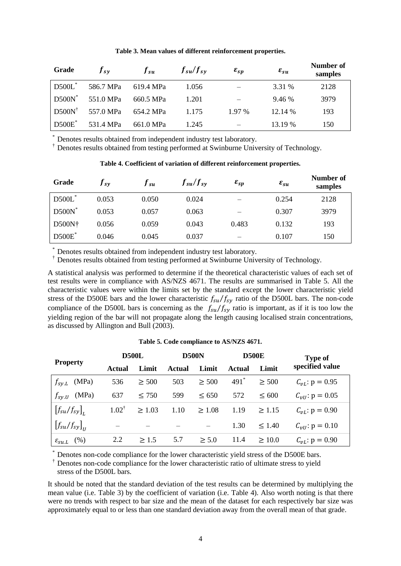| Grade             | $f_{s\nu}$ | $f_{su}$  | $f_{su}/f_{sv}$ | $\varepsilon_{sp}$ | $\varepsilon_{su}$ | Number of<br>samples |
|-------------------|------------|-----------|-----------------|--------------------|--------------------|----------------------|
| $D500L^*$         | 586.7 MPa  | 619.4 MPa | 1.056           |                    | 3.31 %             | 2128                 |
| $D500N^*$         | 551.0 MPa  | 660.5 MPa | 1.201           |                    | 9.46 %             | 3979                 |
| $D500N^{\dagger}$ | 557.0 MPa  | 654.2 MPa | 1.175           | $1.97\%$           | 12.14 %            | 193                  |
| $D500E^*$         | 531.4 MPa  | 661.0 MPa | 1.245           |                    | 13.19 %            | 150                  |

#### **Table 3. Mean values of different reinforcement properties.**

Denotes results obtained from independent industry test laboratory.

† Denotes results obtained from the performed at Swinburne University of Technology.

# **Table 4. Coefficient of variation of different reinforcement properties. Number of**

| Grade     | I sy  | J su  | $f_{su}/f_{sy}$ | $\varepsilon_{sp}$ | $\varepsilon_{su}$ | танност ог<br>samples |
|-----------|-------|-------|-----------------|--------------------|--------------------|-----------------------|
| D500L*    | 0.053 | 0.050 | 0.024           |                    | 0.254              | 2128                  |
| $D500N^*$ | 0.053 | 0.057 | 0.063           |                    | 0.307              | 3979                  |
| D500N†    | 0.056 | 0.059 | 0.043           | 0.483              | 0.132              | 193                   |
| $D500E^*$ | 0.046 | 0.045 | 0.037           |                    | 0.107              | 150                   |

Denotes results obtained from independent industry test laboratory.

† Denotes results obtained from testing performed at Swinburne University of Technology.

A statistical analysis was performed to determine if the theoretical characteristic values of each set of test results were in compliance with AS/NZS 4671. The results are summarised in Table 5. All the characteristic values were within the limits set by the standard except the lower characteristic yield stress of the D500E bars and the lower characteristic  $f_{\rm s}u/f_{\rm s}y$  ratio of the D500L bars. The non-code compliance of the D500L bars is concerning as the  $f_{\text{su}}/f_{\text{sv}}$  ratio is important, as if it is too low the yielding region of the bar will not propagate along the length causing localised strain concentrations, as discussed by Allington and Bull (2003).

#### **Table 5. Code compliance to AS/NZS 4671.**

|                                   | <b>D500L</b>     |             | <b>D500N</b> |             | <b>D500E</b> |             | <b>Type of</b>         |  |
|-----------------------------------|------------------|-------------|--------------|-------------|--------------|-------------|------------------------|--|
| <b>Property</b>                   | Actual           | Limit       | Actual       | Limit       | Actual       | Limit       | specified value        |  |
| $f_{sylL}$<br>(MPa)               | 536              | $\geq 500$  | 503          | $\geq 500$  | $491*$       | $\geq 500$  | $C_{\nu L}$ : p = 0.95 |  |
| (MPa)<br>$f_{s\gamma U}$          | 637              | $\leq 750$  | 599          | $\leq 650$  | 572          | ${}< 600$   | $C_{vU}$ : p = 0.05    |  |
| $[f_{su}/f_{sy}]$                 | $1.02^{\dagger}$ | $\geq 1.03$ | 1.10         | $\geq 1.08$ | 1.19         | $\geq 1.15$ | $C_{\nu L}$ : p = 0.90 |  |
| $\left[f_{su}/f_{sy}\right]_{II}$ |                  |             |              |             | 1.30         | < 1.40      | $C_{vU}$ : p = 0.10    |  |
| $\varepsilon_{\textit{SUL}}$ (%)  | 2.2              | > 1.5       | 5.7          | > 5.0       | 11.4         | >10.0       | $C_{\nu L}$ : p = 0.90 |  |

Denotes non-code compliance for the lower characteristic yield stress of the D500E bars.

† Denotes non-code compliance for the lower characteristic ratio of ultimate stress to yield

stress of the D500L bars.

It should be noted that the standard deviation of the test results can be determined by multiplying the mean value (i.e. Table 3) by the coefficient of variation (i.e. Table 4). Also worth noting is that there were no trends with respect to bar size and the mean of the dataset for each respectively bar size was approximately equal to or less than one standard deviation away from the overall mean of that grade.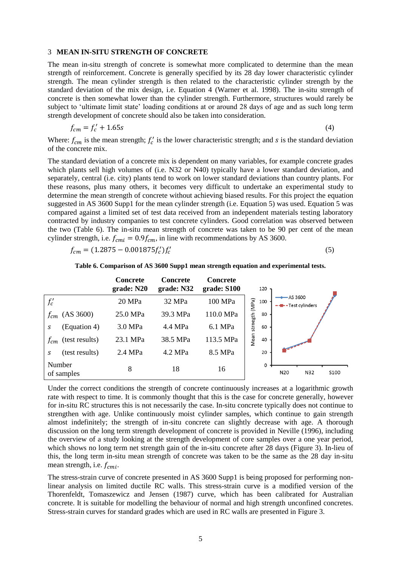#### 3 **MEAN IN-SITU STRENGTH OF CONCRETE**

The mean in-situ strength of concrete is somewhat more complicated to determine than the mean strength of reinforcement. Concrete is generally specified by its 28 day lower characteristic cylinder strength. The mean cylinder strength is then related to the characteristic cylinder strength by the standard deviation of the mix design, i.e. Equation 4 (Warner et al. 1998). The in-situ strength of concrete is then somewhat lower than the cylinder strength. Furthermore, structures would rarely be subject to 'ultimate limit state' loading conditions at or around 28 days of age and as such long term strength development of concrete should also be taken into consideration.

$$
f_{cm} = f_c' + 1.65s\tag{4}
$$

Where:  $f_{cm}$  is the mean strength;  $f_c'$  is the lower characteristic strength; and s is the standard deviation of the concrete mix.

The standard deviation of a concrete mix is dependent on many variables, for example concrete grades which plants sell high volumes of (i.e. N32 or N40) typically have a lower standard deviation, and separately, central (i.e. city) plants tend to work on lower standard deviations than country plants. For these reasons, plus many others, it becomes very difficult to undertake an experimental study to determine the mean strength of concrete without achieving biased results. For this project the equation suggested in AS 3600 Supp1 for the mean cylinder strength (i.e. Equation 5) was used. Equation 5 was compared against a limited set of test data received from an independent materials testing laboratory contracted by industry companies to test concrete cylinders. Good correlation was observed between the two (Table 6). The in-situ mean strength of concrete was taken to be 90 per cent of the mean cylinder strength, i.e.  $f_{cmi} = 0.9 f_{cm}$ , in line with recommendations by AS 3600.

$$
f_{cm} = (1.2875 - 0.001875 f_c') f_c'
$$
\n<sup>(5)</sup>

|                            | <b>Concrete</b><br>grade: N20 | <b>Concrete</b><br>grade: N32 | <b>Concrete</b><br>grade: S100 | 120                  |          |                   |      |
|----------------------------|-------------------------------|-------------------------------|--------------------------------|----------------------|----------|-------------------|------|
| $f_c'$                     | 20 MPa                        | 32 MPa                        | 100 MPa                        | 100                  | -AS 3600 | -- Test cylinders |      |
| (AS 3600)<br>$f_{cm}$      | 25.0 MPa                      | 39.3 MPa                      | 110.0 MPa                      | strnegth (MPa)<br>80 |          |                   |      |
| (Equation 4)<br>S          | 3.0 MPa                       | 4.4 MPa                       | 6.1 MPa                        | 60                   |          |                   |      |
| (test results)<br>$f_{cm}$ | 23.1 MPa                      | 38.5 MPa                      | 113.5 MPa                      | Mean<br>40           |          |                   |      |
| (test results)<br>S        | 2.4 MPa                       | 4.2 MPa                       | 8.5 MPa                        | 20                   |          |                   |      |
| Number                     |                               |                               |                                | 0                    |          |                   |      |
| of samples                 | 8                             | 18                            | 16                             |                      | N20      | N32               | S100 |

**Table 6. Comparison of AS 3600 Supp1 mean strength equation and experimental tests.**

Under the correct conditions the strength of concrete continuously increases at a logarithmic growth rate with respect to time. It is commonly thought that this is the case for concrete generally, however for in-situ RC structures this is not necessarily the case. In-situ concrete typically does not continue to strengthen with age. Unlike continuously moist cylinder samples, which continue to gain strength almost indefinitely; the strength of in-situ concrete can slightly decrease with age. A thorough discussion on the long term strength development of concrete is provided in Neville (1996), including the overview of a study looking at the strength development of core samples over a one year period, which shows no long term net strength gain of the in-situ concrete after 28 days (Figure 3). In-lieu of this, the long term in-situ mean strength of concrete was taken to be the same as the 28 day in-situ mean strength, i.e.  $f_{cmi}$ .

The stress-strain curve of concrete presented in AS 3600 Supp1 is being proposed for performing nonlinear analysis on limited ductile RC walls. This stress-strain curve is a modified version of the Thorenfeldt, Tomaszewicz and Jensen (1987) curve, which has been calibrated for Australian concrete. It is suitable for modelling the behaviour of normal and high strength unconfined concretes. Stress-strain curves for standard grades which are used in RC walls are presented in Figure 3.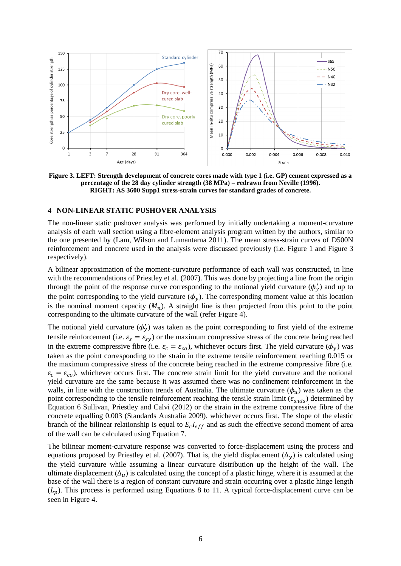

**Figure 3. LEFT: Strength development of concrete cores made with type 1 (i.e. GP) cement expressed as a percentage of the 28 day cylinder strength (38 MPa) – redrawn from Neville (1996). RIGHT: AS 3600 Supp1 stress-strain curves for standard grades of concrete.**

#### 4 **NON-LINEAR STATIC PUSHOVER ANALYSIS**

The non-linear static pushover analysis was performed by initially undertaking a moment-curvature analysis of each wall section using a fibre-element analysis program written by the authors, similar to the one presented by (Lam, Wilson and Lumantarna 2011). The mean stress-strain curves of D500N reinforcement and concrete used in the analysis were discussed previously (i.e. Figure 1 and Figure 3 respectively).

A bilinear approximation of the moment-curvature performance of each wall was constructed, in line with the recommendations of Priestley et al. (2007). This was done by projecting a line from the origin through the point of the response curve corresponding to the notional yield curvature  $(\phi'_v)$  and up to the point corresponding to the yield curvature  $(\phi_y)$ . The corresponding moment value at this location is the nominal moment capacity  $(M_n)$ . A straight line is then projected from this point to the point corresponding to the ultimate curvature of the wall (refer Figure 4).

The notional yield curvature  $(\phi'_v)$  was taken as the point corresponding to first yield of the extreme tensile reinforcement (i.e.  $\varepsilon_s = \varepsilon_{sy}$ ) or the maximum compressive stress of the concrete being reached in the extreme compressive fibre (i.e.  $\varepsilon_c = \varepsilon_{co}$ ), whichever occurs first. The yield curvature ( $\phi_y$ ) was taken as the point corresponding to the strain in the extreme tensile reinforcement reaching 0.015 or the maximum compressive stress of the concrete being reached in the extreme compressive fibre (i.e.  $\varepsilon_c = \varepsilon_{co}$ ), whichever occurs first. The concrete strain limit for the yield curvature and the notional yield curvature are the same because it was assumed there was no confinement reinforcement in the walls, in line with the construction trends of Australia. The ultimate curvature  $(\phi_u)$  was taken as the point corresponding to the tensile reinforcement reaching the tensile strain limit ( $\varepsilon_{s,uls}$ ) determined by Equation 6 Sullivan, Priestley and Calvi (2012) or the strain in the extreme compressive fibre of the concrete equalling 0.003 (Standards Australia 2009), whichever occurs first. The slope of the elastic branch of the bilinear relationship is equal to  $E<sub>c</sub>I<sub>eff</sub>$  and as such the effective second moment of area of the wall can be calculated using Equation 7.

The bilinear moment-curvature response was converted to force-displacement using the process and equations proposed by Priestley et al. (2007). That is, the yield displacement  $(\Delta_{\nu})$  is calculated using the yield curvature while assuming a linear curvature distribution up the height of the wall. The ultimate displacement  $(\Delta_{\mu})$  is calculated using the concept of a plastic hinge, where it is assumed at the base of the wall there is a region of constant curvature and strain occurring over a plastic hinge length  $(L_p)$ . This process is performed using Equations 8 to 11. A typical force-displacement curve can be seen in Figure 4.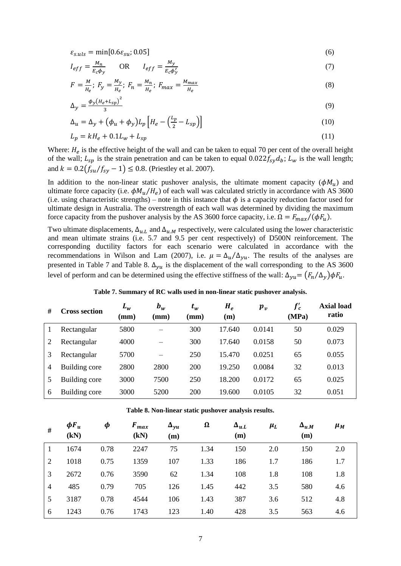$$
\varepsilon_{s.uls} = \min[0.6\varepsilon_{su}; 0.05] \tag{6}
$$

$$
I_{eff} = \frac{M_n}{E_c \phi_y} \qquad \text{OR} \qquad I_{eff} = \frac{M_y}{E_c \phi_y'} \tag{7}
$$

$$
F = \frac{M}{H_e}; \ F_y = \frac{M_y}{H_e}; \ F_n = \frac{M_n}{H_e}; \ F_{max} = \frac{M_{max}}{H_e}
$$
 (8)

$$
\Delta_{y} = \frac{\phi_{y}(H_{e} + L_{sp})^{2}}{3} \tag{9}
$$

$$
\Delta_u = \Delta_y + \left(\phi_u + \phi_y\right) L_p \left[H_e - \left(\frac{L_p}{2} - L_{sp}\right)\right]
$$
\n(10)

$$
L_p = kH_e + 0.1L_w + L_{sp}
$$
 (11)

Where:  $H_e$  is the effective height of the wall and can be taken to equal 70 per cent of the overall height of the wall;  $L_{sp}$  is the strain penetration and can be taken to equal  $0.022 f_{sy} d_b$ ;  $L_w$  is the wall length; and  $k = 0.2(f_{\text{su}}/f_{\text{sy}} - 1) \le 0.8$ . (Priestley et al. 2007).

In addition to the non-linear static pushover analysis, the ultimate moment capacity  $(\phi M_u)$  and ultimate force capacity (i.e.  $\phi M_u/H_e$ ) of each wall was calculated strictly in accordance with AS 3600 (i.e. using characteristic strengths) – note in this instance that  $\phi$  is a capacity reduction factor used for ultimate design in Australia. The overstrength of each wall was determined by dividing the maximum force capacity from the pushover analysis by the AS 3600 force capacity, i.e.  $\Omega = F_{max}/(\phi F_u)$ .

Two ultimate displacements,  $\Delta_{u,L}$  and  $\Delta_{u,M}$  respectively, were calculated using the lower characteristic and mean ultimate strains (i.e. 5.7 and 9.5 per cent respectively) of D500N reinforcement. The corresponding ductility factors for each scenario were calculated in accordance with the recommendations in Wilson and Lam (2007), i.e.  $\mu = \Delta_u/\Delta_{vu}$ . The results of the analyses are presented in Table 7 and Table 8.  $\Delta_{\nu u}$  is the displacement of the wall corresponding to the AS 3600 level of perform and can be determined using the effective stiffness of the wall:  $\Delta_{\nu} = (F_n/\Delta_{\nu})\phi F_u$ .

| #              | Cross section | $L_w$<br>$(\mathbf{mm})$ | $b_w$<br>$(\mathbf{mm})$ | $t_w$<br>$(\mathbf{mm})$ | $H_e$<br>(m) | $p_v$  | $f_c'$<br>(MPa) | <b>Axial load</b><br>ratio |
|----------------|---------------|--------------------------|--------------------------|--------------------------|--------------|--------|-----------------|----------------------------|
|                | Rectangular   | 5800                     |                          | 300                      | 17.640       | 0.0141 | 50              | 0.029                      |
|                | Rectangular   | 4000                     |                          | 300                      | 17.640       | 0.0158 | 50              | 0.073                      |
|                | Rectangular   | 5700                     |                          | 250                      | 15.470       | 0.0251 | 65              | 0.055                      |
| $\overline{4}$ | Building core | 2800                     | 2800                     | 200                      | 19.250       | 0.0084 | 32              | 0.013                      |
|                | Building core | 3000                     | 7500                     | 250                      | 18.200       | 0.0172 | 65              | 0.025                      |
| 6              | Building core | 3000                     | 5200                     | 200                      | 19.600       | 0.0105 | 32              | 0.051                      |

**Table 7. Summary of RC walls used in non-linear static pushover analysis.**

| #              | $\phi F_u$<br>(kN) | Φ    | $F_{max}$<br>(kN) | $\Delta_{\nu u}$<br>(m) | Ω    | $\Delta_{u.L}$<br>(m) | $\mu_L$ | $\Delta_{u.M}$<br>(m) | $\mu_M$ |
|----------------|--------------------|------|-------------------|-------------------------|------|-----------------------|---------|-----------------------|---------|
|                | 1674               | 0.78 | 2247              | 75                      | 1.34 | 150                   | 2.0     | 150                   | 2.0     |
| 2              | 1018               | 0.75 | 1359              | 107                     | 1.33 | 186                   | 1.7     | 186                   | 1.7     |
| 3              | 2672               | 0.76 | 3590              | 62                      | 1.34 | 108                   | 1.8     | 108                   | 1.8     |
| $\overline{4}$ | 485                | 0.79 | 705               | 126                     | 1.45 | 442                   | 3.5     | 580                   | 4.6     |
| 5              | 3187               | 0.78 | 4544              | 106                     | 1.43 | 387                   | 3.6     | 512                   | 4.8     |
| 6              | 1243               | 0.76 | 1743              | 123                     | 1.40 | 428                   | 3.5     | 563                   | 4.6     |

**Table 8. Non-linear static pushover analysis results.**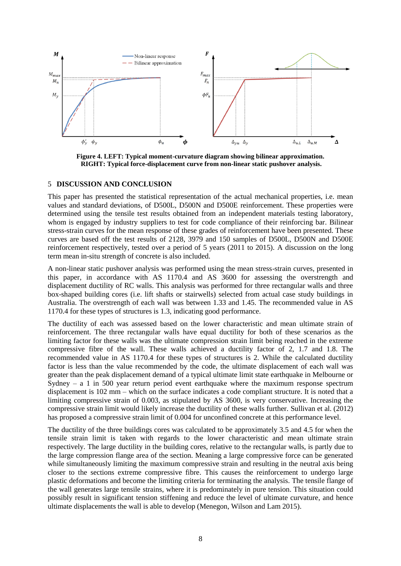

**Figure 4. LEFT: Typical moment-curvature diagram showing bilinear approximation. RIGHT: Typical force-displacement curve from non-linear static pushover analysis.**

#### 5 **DISCUSSION AND CONCLUSION**

This paper has presented the statistical representation of the actual mechanical properties, i.e. mean values and standard deviations, of D500L, D500N and D500E reinforcement. These properties were determined using the tensile test results obtained from an independent materials testing laboratory, whom is engaged by industry suppliers to test for code compliance of their reinforcing bar. Bilinear stress-strain curves for the mean response of these grades of reinforcement have been presented. These curves are based off the test results of 2128, 3979 and 150 samples of D500L, D500N and D500E reinforcement respectively, tested over a period of 5 years (2011 to 2015). A discussion on the long term mean in-situ strength of concrete is also included.

A non-linear static pushover analysis was performed using the mean stress-strain curves, presented in this paper, in accordance with AS 1170.4 and AS 3600 for assessing the overstrength and displacement ductility of RC walls. This analysis was performed for three rectangular walls and three box-shaped building cores (i.e. lift shafts or stairwells) selected from actual case study buildings in Australia. The overstrength of each wall was between 1.33 and 1.45. The recommended value in AS 1170.4 for these types of structures is 1.3, indicating good performance.

The ductility of each was assessed based on the lower characteristic and mean ultimate strain of reinforcement. The three rectangular walls have equal ductility for both of these scenarios as the limiting factor for these walls was the ultimate compression strain limit being reached in the extreme compressive fibre of the wall. These walls achieved a ductility factor of 2, 1.7 and 1.8. The recommended value in AS 1170.4 for these types of structures is 2. While the calculated ductility factor is less than the value recommended by the code, the ultimate displacement of each wall was greater than the peak displacement demand of a typical ultimate limit state earthquake in Melbourne or Sydney – a 1 in 500 year return period event earthquake where the maximum response spectrum displacement is 102 mm – which on the surface indicates a code compliant structure. It is noted that a limiting compressive strain of 0.003, as stipulated by AS 3600, is very conservative. Increasing the compressive strain limit would likely increase the ductility of these walls further. Sullivan et al. (2012) has proposed a compressive strain limit of 0.004 for unconfined concrete at this performance level.

The ductility of the three buildings cores was calculated to be approximately 3.5 and 4.5 for when the tensile strain limit is taken with regards to the lower characteristic and mean ultimate strain respectively. The large ductility in the building cores, relative to the rectangular walls, is partly due to the large compression flange area of the section. Meaning a large compressive force can be generated while simultaneously limiting the maximum compressive strain and resulting in the neutral axis being closer to the sections extreme compressive fibre. This causes the reinforcement to undergo large plastic deformations and become the limiting criteria for terminating the analysis. The tensile flange of the wall generates large tensile strains, where it is predominately in pure tension. This situation could possibly result in significant tension stiffening and reduce the level of ultimate curvature, and hence ultimate displacements the wall is able to develop (Menegon, Wilson and Lam 2015).